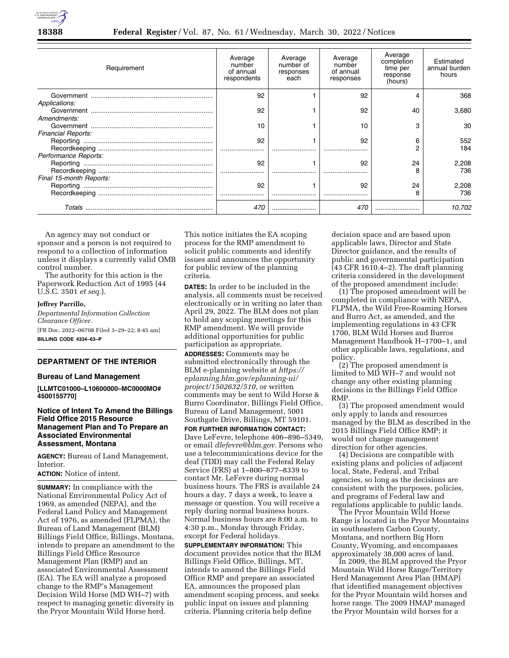

| Requirement               | Average<br>number<br>of annual<br>respondents | Average<br>number of<br>responses<br>each | Average<br>number<br>of annual<br>responses | Average<br>completion<br>time per<br>response<br>(hours) | Estimated<br>annual burden<br>hours |
|---------------------------|-----------------------------------------------|-------------------------------------------|---------------------------------------------|----------------------------------------------------------|-------------------------------------|
|                           | 92                                            |                                           | 92                                          |                                                          | 368                                 |
| Applications:             |                                               |                                           |                                             |                                                          |                                     |
|                           | 92                                            |                                           | 92                                          | 40                                                       | 3,680                               |
| Amendments:               |                                               |                                           |                                             |                                                          |                                     |
|                           | 10                                            |                                           | 10                                          | З                                                        | 30                                  |
| <b>Financial Reports:</b> |                                               |                                           |                                             |                                                          |                                     |
|                           | 92                                            |                                           | 92                                          | ิค                                                       | 552                                 |
|                           |                                               |                                           |                                             |                                                          | 184                                 |
| Performance Reports:      |                                               |                                           |                                             |                                                          |                                     |
|                           | 92                                            |                                           | 92                                          | 24                                                       | 2,208                               |
|                           |                                               |                                           |                                             | 8                                                        | 736                                 |
| Final 15-month Reports:   |                                               |                                           |                                             |                                                          |                                     |
|                           | 92                                            |                                           | 92                                          | 24                                                       | 2,208                               |
|                           |                                               |                                           |                                             |                                                          | 736                                 |
|                           | 470                                           |                                           | 470                                         |                                                          | 10.702                              |

An agency may not conduct or sponsor and a person is not required to respond to a collection of information unless it displays a currently valid OMB control number.

The authority for this action is the Paperwork Reduction Act of 1995 (44 U.S.C. 3501 *et seq.*).

#### **Jeffrey Parrillo,**

*Departmental Information Collection Clearance Officer.*  [FR Doc. 2022–06708 Filed 3–29–22; 8:45 am] **BILLING CODE 4334–63–P** 

# **DEPARTMENT OF THE INTERIOR**

#### **Bureau of Land Management**

**[LLMTC01000–L10600000–MC0000MO# 4500155770]** 

## **Notice of Intent To Amend the Billings Field Office 2015 Resource Management Plan and To Prepare an Associated Environmental Assessment, Montana**

**AGENCY:** Bureau of Land Management, Interior.

**ACTION:** Notice of intent.

**SUMMARY:** In compliance with the National Environmental Policy Act of 1969, as amended (NEPA), and the Federal Land Policy and Management Act of 1976, as amended (FLPMA), the Bureau of Land Management (BLM) Billings Field Office, Billings, Montana, intends to prepare an amendment to the Billings Field Office Resource Management Plan (RMP) and an associated Environmental Assessment (EA). The EA will analyze a proposed change to the RMP's Management Decision Wild Horse (MD WH–7) with respect to managing genetic diversity in the Pryor Mountain Wild Horse herd.

This notice initiates the EA scoping process for the RMP amendment to solicit public comments and identify issues and announces the opportunity for public review of the planning criteria.

**DATES:** In order to be included in the analysis, all comments must be received electronically or in writing no later than April 29, 2022. The BLM does not plan to hold any scoping meetings for this RMP amendment. We will provide additional opportunities for public participation as appropriate.

**ADDRESSES:** Comments may be submitted electronically through the BLM e-planning website at *[https://](https://eplanning.blm.gov/eplanning-ui/project/1502632/510) [eplanning.blm.gov/eplanning-ui/](https://eplanning.blm.gov/eplanning-ui/project/1502632/510)  [project/1502632/510,](https://eplanning.blm.gov/eplanning-ui/project/1502632/510)* or written comments may be sent to Wild Horse & Burro Coordinator, Billings Field Office, Bureau of Land Management, 5001 Southgate Drive, Billings, MT 59101.

**FOR FURTHER INFORMATION CONTACT:**  Dave LeFevre, telephone 406–896–5349, or email *[dlefevre@blm.gov.](mailto:dlefevre@blm.gov)* Persons who use a telecommunications device for the deaf (TDD) may call the Federal Relay Service (FRS) at 1–800–877–8339 to contact Mr. LeFevre during normal business hours. The FRS is available 24 hours a day, 7 days a week, to leave a message or question. You will receive a reply during normal business hours. Normal business hours are 8:00 a.m. to 4:30 p.m., Monday through Friday, except for Federal holidays.

**SUPPLEMENTARY INFORMATION:** This document provides notice that the BLM Billings Field Office, Billings, MT, intends to amend the Billings Field Office RMP and prepare an associated EA, announces the proposed plan amendment scoping process, and seeks public input on issues and planning criteria. Planning criteria help define

decision space and are based upon applicable laws, Director and State Director guidance, and the results of public and governmental participation (43 CFR 1610.4–2). The draft planning criteria considered in the development of the proposed amendment include:

(1) The proposed amendment will be completed in compliance with NEPA, FLPMA, the Wild Free-Roaming Horses and Burro Act, as amended, and the implementing regulations in 43 CFR 1700, BLM Wild Horses and Burros Management Handbook H–1700–1, and other applicable laws, regulations, and policy.

(2) The proposed amendment is limited to MD WH–7 and would not change any other existing planning decisions in the Billings Field Office RMP.

(3) The proposed amendment would only apply to lands and resources managed by the BLM as described in the 2015 Billings Field Office RMP; it would not change management direction for other agencies.

(4) Decisions are compatible with existing plans and policies of adjacent local, State, Federal, and Tribal agencies, so long as the decisions are consistent with the purposes, policies, and programs of Federal law and regulations applicable to public lands.

The Pryor Mountain Wild Horse Range is located in the Pryor Mountains in southeastern Carbon County, Montana, and northern Big Horn County, Wyoming, and encompasses approximately 38,000 acres of land.

In 2009, the BLM approved the Pryor Mountain Wild Horse Range/Territory Herd Management Area Plan (HMAP) that identified management objectives for the Pryor Mountain wild horses and horse range. The 2009 HMAP managed the Pryor Mountain wild horses for a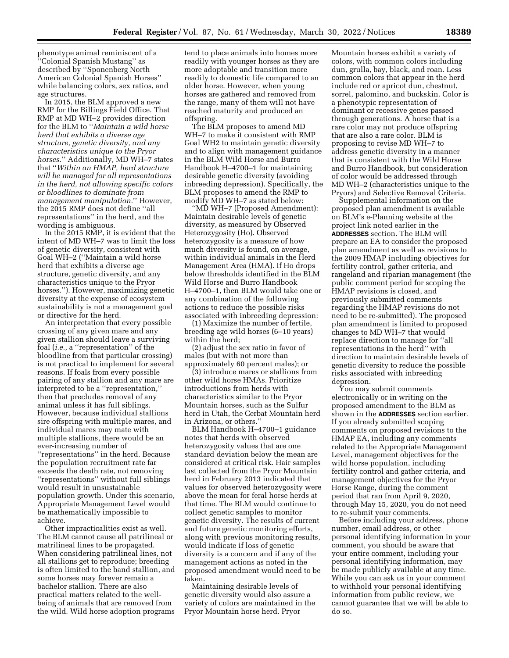phenotype animal reminiscent of a ''Colonial Spanish Mustang'' as described by ''Sponenberg North American Colonial Spanish Horses'' while balancing colors, sex ratios, and age structures.

In 2015, the BLM approved a new RMP for the Billings Field Office. That RMP at MD WH–2 provides direction for the BLM to ''*Maintain a wild horse herd that exhibits a diverse age structure, genetic diversity, and any characteristics unique to the Pryor horses.*'' Additionally, MD WH–7 states that ''*Within an HMAP, herd structure will be managed for all representations in the herd, not allowing specific colors or bloodlines to dominate from management manipulation.*'' However, the 2015 RMP does not define ''all representations'' in the herd, and the wording is ambiguous.

In the 2015 RMP, it is evident that the intent of MD WH–7 was to limit the loss of genetic diversity, consistent with Goal WH–2 (''Maintain a wild horse herd that exhibits a diverse age structure, genetic diversity, and any characteristics unique to the Pryor horses.''). However, maximizing genetic diversity at the expense of ecosystem sustainability is not a management goal or directive for the herd.

An interpretation that every possible crossing of any given mare and any given stallion should leave a surviving foal (*i.e.,* a ''representation'' of the bloodline from that particular crossing) is not practical to implement for several reasons. If foals from every possible pairing of any stallion and any mare are interpreted to be a ''representation,'' then that precludes removal of any animal unless it has full siblings. However, because individual stallions sire offspring with multiple mares, and individual mares may mate with multiple stallions, there would be an ever-increasing number of ''representations'' in the herd. Because the population recruitment rate far exceeds the death rate, not removing ''representations'' without full siblings would result in unsustainable population growth. Under this scenario, Appropriate Management Level would be mathematically impossible to achieve.

Other impracticalities exist as well. The BLM cannot cause all patrilineal or matrilineal lines to be propagated. When considering patrilineal lines, not all stallions get to reproduce; breeding is often limited to the band stallion, and some horses may forever remain a bachelor stallion. There are also practical matters related to the wellbeing of animals that are removed from the wild. Wild horse adoption programs

tend to place animals into homes more readily with younger horses as they are more adoptable and transition more readily to domestic life compared to an older horse. However, when young horses are gathered and removed from the range, many of them will not have reached maturity and produced an offspring.

The BLM proposes to amend MD WH–7 to make it consistent with RMP Goal WH2 to maintain genetic diversity and to align with management guidance in the BLM Wild Horse and Burro Handbook H–4700–1 for maintaining desirable genetic diversity (avoiding inbreeding depression). Specifically, the BLM proposes to amend the RMP to modify MD WH–7 as stated below:

''MD WH–7 (Proposed Amendment): Maintain desirable levels of genetic diversity, as measured by Observed Heterozygosity (Ho). Observed heterozygosity is a measure of how much diversity is found, on average, within individual animals in the Herd Management Area (HMA). If Ho drops below thresholds identified in the BLM Wild Horse and Burro Handbook H–4700–1, then BLM would take one or any combination of the following actions to reduce the possible risks associated with inbreeding depression:

(1) Maximize the number of fertile, breeding age wild horses (6–10 years) within the herd;

(2) adjust the sex ratio in favor of males (but with not more than approximately 60 percent males); or

(3) introduce mares or stallions from other wild horse HMAs. Prioritize introductions from herds with characteristics similar to the Pryor Mountain horses, such as the Sulfur herd in Utah, the Cerbat Mountain herd in Arizona, or others.''

BLM Handbook H–4700–1 guidance notes that herds with observed heterozygosity values that are one standard deviation below the mean are considered at critical risk. Hair samples last collected from the Pryor Mountain herd in February 2013 indicated that values for observed heterozygosity were above the mean for feral horse herds at that time. The BLM would continue to collect genetic samples to monitor genetic diversity. The results of current and future genetic monitoring efforts, along with previous monitoring results, would indicate if loss of genetic diversity is a concern and if any of the management actions as noted in the proposed amendment would need to be taken.

Maintaining desirable levels of genetic diversity would also assure a variety of colors are maintained in the Pryor Mountain horse herd. Pryor

Mountain horses exhibit a variety of colors, with common colors including dun, grulla, bay, black, and roan. Less common colors that appear in the herd include red or apricot dun, chestnut, sorrel, palomino, and buckskin. Color is a phenotypic representation of dominant or recessive genes passed through generations. A horse that is a rare color may not produce offspring that are also a rare color. BLM is proposing to revise MD WH–7 to address genetic diversity in a manner that is consistent with the Wild Horse and Burro Handbook, but consideration of color would be addressed through MD WH–2 (characteristics unique to the Pryors) and Selective Removal Criteria.

Supplemental information on the proposed plan amendment is available on BLM's e-Planning website at the project link noted earlier in the **ADDRESSES** section. The BLM will prepare an EA to consider the proposed plan amendment as well as revisions to the 2009 HMAP including objectives for fertility control, gather criteria, and rangeland and riparian management (the public comment period for scoping the HMAP revisions is closed, and previously submitted comments regarding the HMAP revisions do not need to be re-submitted). The proposed plan amendment is limited to proposed changes to MD WH–7 that would replace direction to manage for ''all representations in the herd'' with direction to maintain desirable levels of genetic diversity to reduce the possible risks associated with inbreeding depression.

You may submit comments electronically or in writing on the proposed amendment to the BLM as shown in the **ADDRESSES** section earlier. If you already submitted scoping comments on proposed revisions to the HMAP EA, including any comments related to the Appropriate Management Level, management objectives for the wild horse population, including fertility control and gather criteria, and management objectives for the Pryor Horse Range, during the comment period that ran from April 9, 2020, through May 15, 2020, you do not need to re-submit your comments.

Before including your address, phone number, email address, or other personal identifying information in your comment, you should be aware that your entire comment, including your personal identifying information, may be made publicly available at any time. While you can ask us in your comment to withhold your personal identifying information from public review, we cannot guarantee that we will be able to do so.